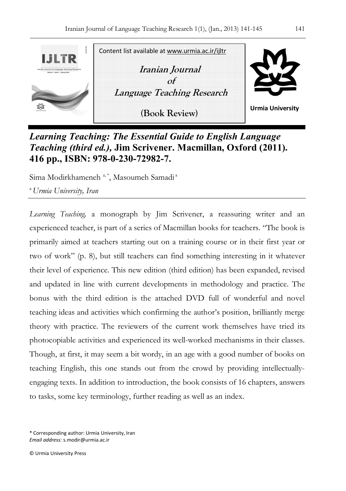

*Learning Teaching: The Essential Guide to English Language Teaching (third ed.),* **Jim Scrivener. Macmillan, Oxford (2011). 416 pp., ISBN: 978-0-230-72982-7.** 

Sima Modirkhameneh <sup>a, \*</sup>, Masoumeh Samadi<sup>a</sup>

<sup>a</sup>*Urmia University, Iran*

*Learning Teaching,* a monograph by Jim Scrivener, a reassuring writer and an experienced teacher, is part of a series of Macmillan books for teachers. "The book is primarily aimed at teachers starting out on a training course or in their first year or two of work" (p. 8), but still teachers can find something interesting in it whatever their level of experience. This new edition (third edition) has been expanded, revised and updated in line with current developments in methodology and practice. The bonus with the third edition is the attached DVD full of wonderful and novel teaching ideas and activities which confirming the author's position, brilliantly merge theory with practice. The reviewers of the current work themselves have tried its photocopiable activities and experienced its well-worked mechanisms in their classes. Though, at first, it may seem a bit wordy, in an age with a good number of books on teaching English, this one stands out from the crowd by providing intellectuallyengaging texts. In addition to introduction, the book consists of 16 chapters, answers to tasks, some key terminology, further reading as well as an index.

\* Corresponding author: Urmia University, Iran *Email address:* s.modir@urmia.ac.ir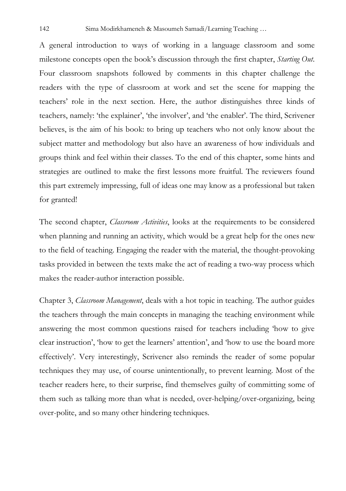A general introduction to ways of working in a language classroom and some milestone concepts open the book's discussion through the first chapter, *Starting Out*. Four classroom snapshots followed by comments in this chapter challenge the readers with the type of classroom at work and set the scene for mapping the teachers' role in the next section. Here, the author distinguishes three kinds of teachers, namely: 'the explainer', 'the involver', and 'the enabler'. The third, Scrivener believes, is the aim of his book: to bring up teachers who not only know about the subject matter and methodology but also have an awareness of how individuals and groups think and feel within their classes. To the end of this chapter, some hints and strategies are outlined to make the first lessons more fruitful. The reviewers found this part extremely impressing, full of ideas one may know as a professional but taken for granted!

The second chapter, *Classroom Activities*, looks at the requirements to be considered when planning and running an activity, which would be a great help for the ones new to the field of teaching. Engaging the reader with the material, the thought-provoking tasks provided in between the texts make the act of reading a two-way process which makes the reader-author interaction possible.

Chapter 3, *Classroom Management*, deals with a hot topic in teaching. The author guides the teachers through the main concepts in managing the teaching environment while answering the most common questions raised for teachers including 'how to give clear instruction', 'how to get the learners' attention', and 'how to use the board more effectively'. Very interestingly, Scrivener also reminds the reader of some popular techniques they may use, of course unintentionally, to prevent learning. Most of the teacher readers here, to their surprise, find themselves guilty of committing some of them such as talking more than what is needed, over-helping/over-organizing, being over-polite, and so many other hindering techniques.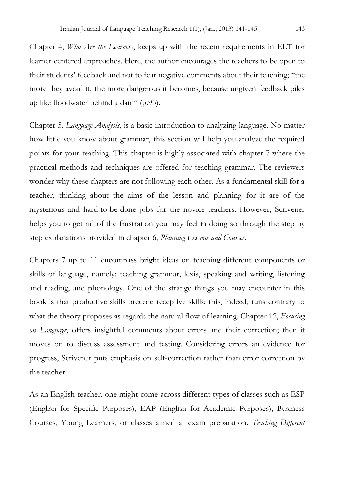Chapter 4, *Who Are the Learners*, keeps up with the recent requirements in ELT for learner centered approaches. Here, the author encourages the teachers to be open to their students' feedback and not to fear negative comments about their teaching; "the more they avoid it, the more dangerous it becomes, because ungiven feedback piles up like floodwater behind a dam" (p.95).

Chapter 5, *Language Analysis*, is a basic introduction to analyzing language. No matter how little you know about grammar, this section will help you analyze the required points for your teaching. This chapter is highly associated with chapter 7 where the practical methods and techniques are offered for teaching grammar. The reviewers wonder why these chapters are not following each other. As a fundamental skill for a teacher, thinking about the aims of the lesson and planning for it are of the mysterious and hard-to-be-done jobs for the novice teachers. However, Scrivener helps you to get rid of the frustration you may feel in doing so through the step by step explanations provided in chapter 6, *Planning Lessons and Courses*.

Chapters 7 up to 11 encompass bright ideas on teaching different components or skills of language, namely: teaching grammar, lexis, speaking and writing, listening and reading, and phonology. One of the strange things you may encounter in this book is that productive skills precede receptive skills; this, indeed, runs contrary to what the theory proposes as regards the natural flow of learning. Chapter 12, *Focusing on Language*, offers insightful comments about errors and their correction; then it moves on to discuss assessment and testing. Considering errors an evidence for progress, Scrivener puts emphasis on self-correction rather than error correction by the teacher.

As an English teacher, one might come across different types of classes such as ESP (English for Specific Purposes), EAP (English for Academic Purposes), Business Courses, Young Learners, or classes aimed at exam preparation. *Teaching Different*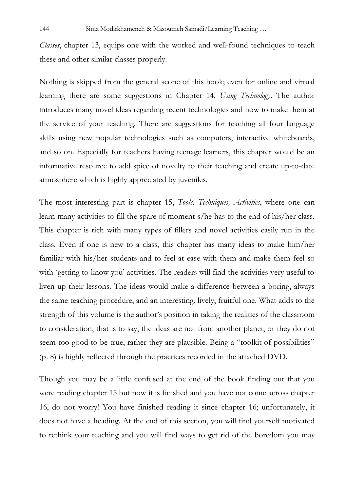*Classes*, chapter 13, equips one with the worked and well-found techniques to teach these and other similar classes properly.

Nothing is skipped from the general scope of this book; even for online and virtual learning there are some suggestions in Chapter 14, *Using Technology*. The author introduces many novel ideas regarding recent technologies and how to make them at the service of your teaching. There are suggestions for teaching all four language skills using new popular technologies such as computers, interactive whiteboards, and so on. Especially for teachers having teenage learners, this chapter would be an informative resource to add spice of novelty to their teaching and create up-to-date atmosphere which is highly appreciated by juveniles.

The most interesting part is chapter 15, *Tools, Techniques, Activities*, where one can learn many activities to fill the spare of moment s/he has to the end of his/her class. This chapter is rich with many types of fillers and novel activities easily run in the class. Even if one is new to a class, this chapter has many ideas to make him/her familiar with his/her students and to feel at ease with them and make them feel so with 'getting to know you' activities. The readers will find the activities very useful to liven up their lessons. The ideas would make a difference between a boring, always the same teaching procedure, and an interesting, lively, fruitful one. What adds to the strength of this volume is the author's position in taking the realities of the classroom to consideration, that is to say, the ideas are not from another planet, or they do not seem too good to be true, rather they are plausible. Being a "toolkit of possibilities" (p. 8) is highly reflected through the practices recorded in the attached DVD.

Though you may be a little confused at the end of the book finding out that you were reading chapter 15 but now it is finished and you have not come across chapter 16, do not worry! You have finished reading it since chapter 16; unfortunately, it does not have a heading. At the end of this section, you will find yourself motivated to rethink your teaching and you will find ways to get rid of the boredom you may